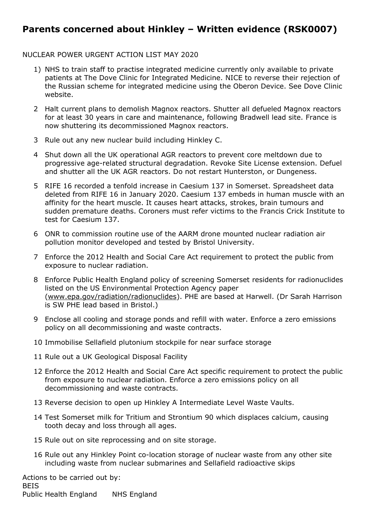## **Parents concerned about Hinkley – Written evidence (RSK0007)**

## NUCLEAR POWER URGENT ACTION LIST MAY 2020

- 1) NHS to train staff to practise integrated medicine currently only available to private patients at The Dove Clinic for Integrated Medicine. NICE to reverse their rejection of the Russian scheme for integrated medicine using the Oberon Device. See Dove Clinic website.
- 2 Halt current plans to demolish Magnox reactors. Shutter all defueled Magnox reactors for at least 30 years in care and maintenance, following Bradwell lead site. France is now shuttering its decommissioned Magnox reactors.
- 3 Rule out any new nuclear build including Hinkley C.
- 4 Shut down all the UK operational AGR reactors to prevent core meltdown due to progressive age-related structural degradation. Revoke Site License extension. Defuel and shutter all the UK AGR reactors. Do not restart Hunterston, or Dungeness.
- 5 RIFE 16 recorded a tenfold increase in Caesium 137 in Somerset. Spreadsheet data deleted from RIFE 16 in January 2020. Caesium 137 embeds in human muscle with an affinity for the heart muscle. It causes heart attacks, strokes, brain tumours and sudden premature deaths. Coroners must refer victims to the Francis Crick Institute to test for Caesium 137.
- 6 ONR to commission routine use of the AARM drone mounted nuclear radiation air pollution monitor developed and tested by Bristol University.
- 7 Enforce the 2012 Health and Social Care Act requirement to protect the public from exposure to nuclear radiation.
- 8 Enforce Public Health England policy of screening Somerset residents for radionuclides listed on the US Environmental Protection Agency paper ([www.epa.gov/radiation/radionuclides](http://www.epa.gov/radiation/radionuclides)). PHE are based at Harwell. (Dr Sarah Harrison is SW PHE lead based in Bristol.)
- 9 Enclose all cooling and storage ponds and refill with water. Enforce a zero emissions policy on all decommissioning and waste contracts.
- 10 Immobilise Sellafield plutonium stockpile for near surface storage
- 11 Rule out a UK Geological Disposal Facility
- 12 Enforce the 2012 Health and Social Care Act specific requirement to protect the public from exposure to nuclear radiation. Enforce a zero emissions policy on all decommissioning and waste contracts.
- 13 Reverse decision to open up Hinkley A Intermediate Level Waste Vaults.
- 14 Test Somerset milk for Tritium and Strontium 90 which displaces calcium, causing tooth decay and loss through all ages.
- 15 Rule out on site reprocessing and on site storage.
- 16 Rule out any Hinkley Point co-location storage of nuclear waste from any other site including waste from nuclear submarines and Sellafield radioactive skips

Actions to be carried out by: BEIS Public Health England NHS England